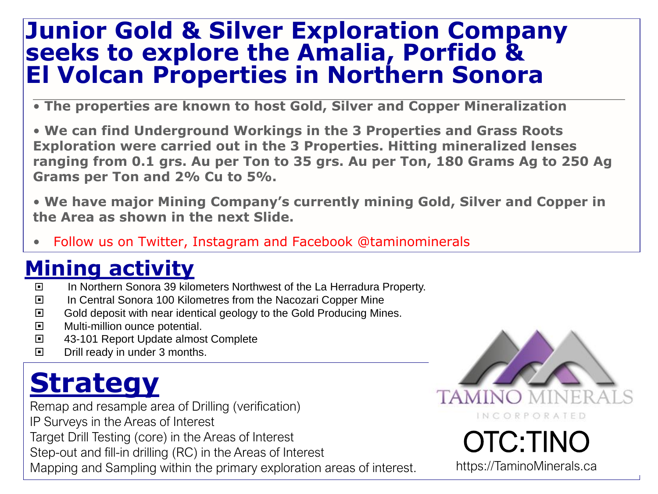#### **Junior Gold & Silver Exploration Company seeks to explore the Amalia, Porfido & El Volcan Properties in Northern Sonora**

• **The properties are known to host Gold, Silver and Copper Mineralization**

• **We can find Underground Workings in the 3 Properties and Grass Roots Exploration were carried out in the 3 Properties. Hitting mineralized lenses ranging from 0.1 grs. Au per Ton to 35 grs. Au per Ton, 180 Grams Ag to 250 Ag Grams per Ton and 2% Cu to 5%.**

• **We have major Mining Company's currently mining Gold, Silver and Copper in the Area as shown in the next Slide.**

• Follow us on Twitter, Instagram and Facebook @taminominerals

#### **Mining activity**

- In Northern Sonora 39 kilometers Northwest of the La Herradura Property.
- In Central Sonora 100 Kilometres from the Nacozari Copper Mine
- □ Gold deposit with near identical geology to the Gold Producing Mines.
- **E** Multi-million ounce potential.
- 43-101 Report Update almost Complete
- $\Box$  Drill ready in under 3 months.

### **Strategy**

Remap and resample area of Drilling (verification)

IP Surveys in the Areas of Interest

Target Drill Testing (core) in the Areas of Interest

Step-out and fill-in drilling (RC) in the Areas of Interest

Mapping and Sampling within the primary exploration areas of interest.



# OTC:TINO

https://TaminoMinerals.ca